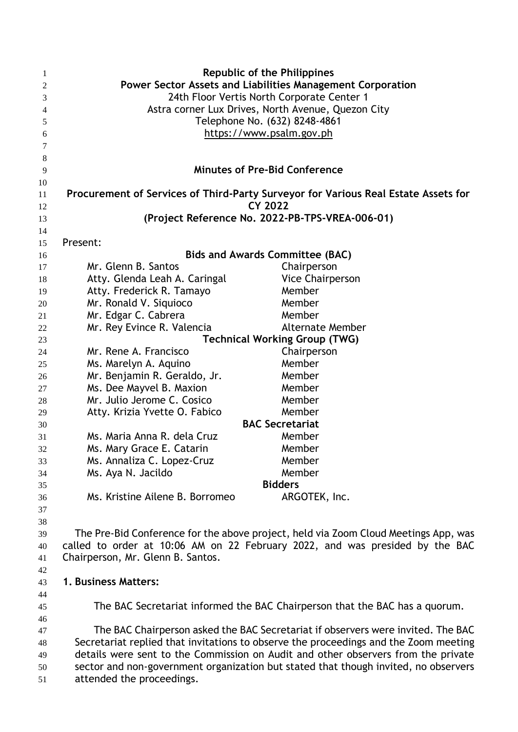| 1  | <b>Republic of the Philippines</b>                                                 |                                                                                      |  |  |  |
|----|------------------------------------------------------------------------------------|--------------------------------------------------------------------------------------|--|--|--|
| 2  | Power Sector Assets and Liabilities Management Corporation                         |                                                                                      |  |  |  |
| 3  | 24th Floor Vertis North Corporate Center 1                                         |                                                                                      |  |  |  |
| 4  | Astra corner Lux Drives, North Avenue, Quezon City                                 |                                                                                      |  |  |  |
| 5  | Telephone No. (632) 8248-4861                                                      |                                                                                      |  |  |  |
| 6  | https://www.psalm.gov.ph                                                           |                                                                                      |  |  |  |
| 7  |                                                                                    |                                                                                      |  |  |  |
| 8  |                                                                                    |                                                                                      |  |  |  |
| 9  |                                                                                    | <b>Minutes of Pre-Bid Conference</b>                                                 |  |  |  |
| 10 |                                                                                    |                                                                                      |  |  |  |
| 11 | Procurement of Services of Third-Party Surveyor for Various Real Estate Assets for |                                                                                      |  |  |  |
| 12 |                                                                                    | <b>CY 2022</b>                                                                       |  |  |  |
| 13 |                                                                                    | (Project Reference No. 2022-PB-TPS-VREA-006-01)                                      |  |  |  |
| 14 |                                                                                    |                                                                                      |  |  |  |
| 15 | Present:                                                                           |                                                                                      |  |  |  |
| 16 |                                                                                    | <b>Bids and Awards Committee (BAC)</b>                                               |  |  |  |
| 17 | Mr. Glenn B. Santos                                                                | Chairperson                                                                          |  |  |  |
| 18 | Atty. Glenda Leah A. Caringal                                                      | <b>Vice Chairperson</b>                                                              |  |  |  |
| 19 | Atty. Frederick R. Tamayo                                                          | Member                                                                               |  |  |  |
| 20 | Mr. Ronald V. Siquioco                                                             | Member                                                                               |  |  |  |
| 21 | Mr. Edgar C. Cabrera                                                               | Member                                                                               |  |  |  |
| 22 | Mr. Rey Evince R. Valencia                                                         | <b>Alternate Member</b>                                                              |  |  |  |
| 23 | <b>Technical Working Group (TWG)</b>                                               |                                                                                      |  |  |  |
| 24 | Mr. Rene A. Francisco                                                              | Chairperson                                                                          |  |  |  |
| 25 | Ms. Marelyn A. Aquino                                                              | Member                                                                               |  |  |  |
| 26 | Mr. Benjamin R. Geraldo, Jr.                                                       | Member                                                                               |  |  |  |
| 27 | Ms. Dee Mayvel B. Maxion                                                           | Member                                                                               |  |  |  |
| 28 | Mr. Julio Jerome C. Cosico                                                         | Member                                                                               |  |  |  |
| 29 | Atty. Krizia Yvette O. Fabico                                                      | Member                                                                               |  |  |  |
| 30 |                                                                                    | <b>BAC Secretariat</b>                                                               |  |  |  |
| 31 | Ms. Maria Anna R. dela Cruz                                                        | Member                                                                               |  |  |  |
| 32 | Ms. Mary Grace E. Catarin                                                          | Member                                                                               |  |  |  |
| 33 | Ms. Annaliza C. Lopez-Cruz                                                         | Member                                                                               |  |  |  |
| 34 | Ms. Aya N. Jacildo                                                                 | Member                                                                               |  |  |  |
| 35 |                                                                                    | <b>Bidders</b>                                                                       |  |  |  |
| 36 | Ms. Kristine Ailene B. Borromeo                                                    | ARGOTEK, Inc.                                                                        |  |  |  |
| 37 |                                                                                    |                                                                                      |  |  |  |
| 38 |                                                                                    |                                                                                      |  |  |  |
| 39 |                                                                                    | The Pre-Bid Conference for the above project, held via Zoom Cloud Meetings App, was  |  |  |  |
| 40 |                                                                                    | called to order at 10:06 AM on 22 February 2022, and was presided by the BAC         |  |  |  |
| 41 | Chairperson, Mr. Glenn B. Santos.                                                  |                                                                                      |  |  |  |
| 42 |                                                                                    |                                                                                      |  |  |  |
| 43 | 1. Business Matters:                                                               |                                                                                      |  |  |  |
| 44 |                                                                                    |                                                                                      |  |  |  |
| 45 |                                                                                    | The BAC Secretariat informed the BAC Chairperson that the BAC has a quorum.          |  |  |  |
| 46 |                                                                                    |                                                                                      |  |  |  |
| 47 |                                                                                    | The BAC Chairperson asked the BAC Secretariat if observers were invited. The BAC     |  |  |  |
| 48 |                                                                                    | Secretariat replied that invitations to observe the proceedings and the Zoom meeting |  |  |  |
| 49 |                                                                                    | details were sent to the Commission on Audit and other observers from the private    |  |  |  |
| 50 |                                                                                    | sector and non-government organization but stated that though invited, no observers  |  |  |  |

attended the proceedings.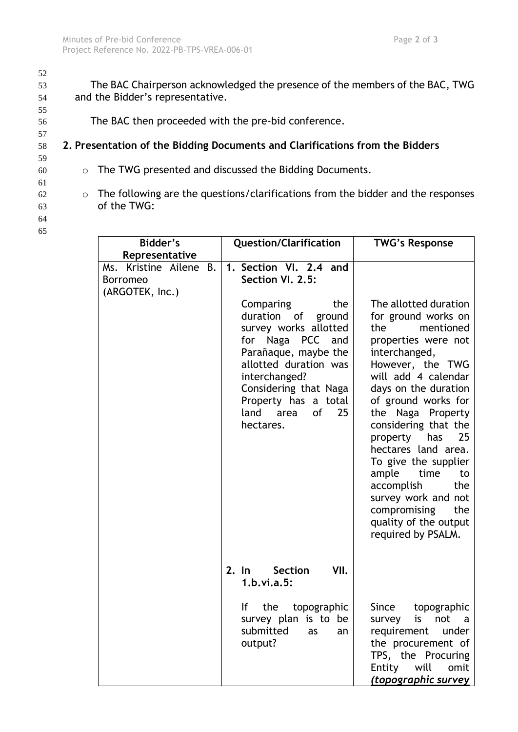54 and the Bidder's representative. 55 56 The BAC then proceeded with the pre-bid conference. 57 58 **2. Presentation of the Bidding Documents and Clarifications from the Bidders**

52

- 59 60 o The TWG presented and discussed the Bidding Documents.
- 61 62 o The following are the questions/clarifications from the bidder and the responses
- 63 of the TWG:
- 64 65

| Bidder's<br>Representative                                   | <b>Question/Clarification</b>                                                                                                                                                                                                                                                                 | <b>TWG's Response</b>                                                                                                                                                                                                                                                                                                                                                                                                                                         |  |
|--------------------------------------------------------------|-----------------------------------------------------------------------------------------------------------------------------------------------------------------------------------------------------------------------------------------------------------------------------------------------|---------------------------------------------------------------------------------------------------------------------------------------------------------------------------------------------------------------------------------------------------------------------------------------------------------------------------------------------------------------------------------------------------------------------------------------------------------------|--|
| Ms. Kristine Ailene B.<br><b>Borromeo</b><br>(ARGOTEK, Inc.) | 1. Section VI. 2.4 and<br>Section VI. 2.5:<br>Comparing<br>the<br>duration of<br>ground<br>survey works allotted<br>for Naga PCC and<br>Parañaque, maybe the<br>allotted duration was<br>interchanged?<br>Considering that Naga<br>Property has a total<br>land area<br>25<br>0f<br>hectares. | The allotted duration<br>for ground works on<br>the<br>mentioned<br>properties were not<br>interchanged,<br>However, the TWG<br>will add 4 calendar<br>days on the duration<br>of ground works for<br>the Naga Property<br>considering that the<br>property has<br>25<br>hectares land area.<br>To give the supplier<br>ample<br>time<br>to<br>accomplish<br>the<br>survey work and not<br>compromising<br>the<br>quality of the output<br>required by PSALM. |  |
|                                                              | 2. In Section<br>VII.<br>1.b.vi.a.5:                                                                                                                                                                                                                                                          |                                                                                                                                                                                                                                                                                                                                                                                                                                                               |  |
|                                                              | lf<br>the<br>topographic<br>survey plan is to be<br>submitted<br>as<br>an<br>output?                                                                                                                                                                                                          | topographic<br>Since<br>not<br>is<br>survey<br>$\overline{a}$<br>requirement<br>under<br>the procurement of<br>TPS, the Procuring<br>will<br>Entity<br>omit<br><u>(topographic survey</u>                                                                                                                                                                                                                                                                     |  |

53 The BAC Chairperson acknowledged the presence of the members of the BAC, TWG